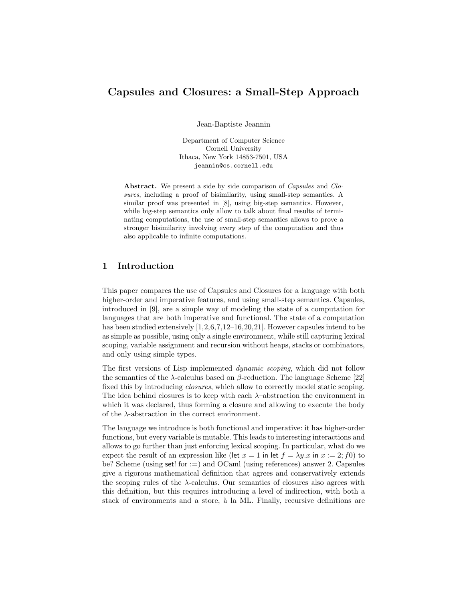## Capsules and Closures: a Small-Step Approach

Jean-Baptiste Jeannin

Department of Computer Science Cornell University Ithaca, New York 14853-7501, USA jeannin@cs.cornell.edu

Abstract. We present a side by side comparison of *Capsules* and *Clo*sures, including a proof of bisimilarity, using small-step semantics. A similar proof was presented in [8], using big-step semantics. However, while big-step semantics only allow to talk about final results of terminating computations, the use of small-step semantics allows to prove a stronger bisimilarity involving every step of the computation and thus also applicable to infinite computations.

## 1 Introduction

This paper compares the use of Capsules and Closures for a language with both higher-order and imperative features, and using small-step semantics. Capsules, introduced in [9], are a simple way of modeling the state of a computation for languages that are both imperative and functional. The state of a computation has been studied extensively  $[1,2,6,7,12-16,20,21]$ . However capsules intend to be as simple as possible, using only a single environment, while still capturing lexical scoping, variable assignment and recursion without heaps, stacks or combinators, and only using simple types.

The first versions of Lisp implemented dynamic scoping, which did not follow the semantics of the  $\lambda$ -calculus based on  $\beta$ -reduction. The language Scheme [22] fixed this by introducing closures, which allow to correctly model static scoping. The idea behind closures is to keep with each  $\lambda$ –abstraction the environment in which it was declared, thus forming a closure and allowing to execute the body of the  $\lambda$ -abstraction in the correct environment.

The language we introduce is both functional and imperative: it has higher-order functions, but every variable is mutable. This leads to interesting interactions and allows to go further than just enforcing lexical scoping. In particular, what do we expect the result of an expression like (let  $x = 1$  in let  $f = \lambda y \cdot x$  in  $x := 2$ ; f0) to be? Scheme (using set! for :=) and OCaml (using references) answer 2. Capsules give a rigorous mathematical definition that agrees and conservatively extends the scoping rules of the  $\lambda$ -calculus. Our semantics of closures also agrees with this definition, but this requires introducing a level of indirection, with both a stack of environments and a store, à la ML. Finally, recursive definitions are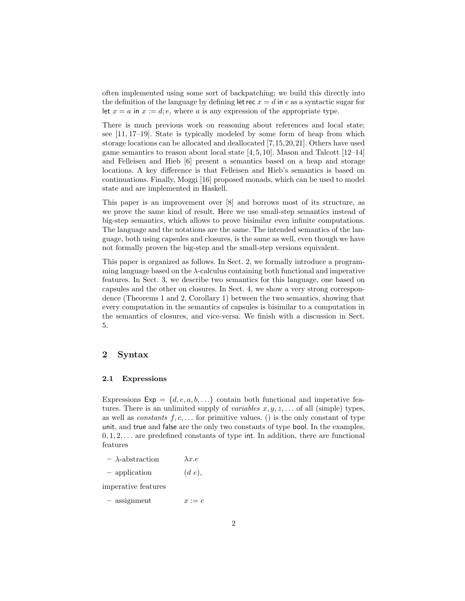often implemented using some sort of backpatching; we build this directly into the definition of the language by defining let rec  $x = d$  in e as a syntactic sugar for let  $x = a$  in  $x := d$ ;  $e$ , where a is any expression of the appropriate type.

There is much previous work on reasoning about references and local state; see [11, 17–19]. State is typically modeled by some form of heap from which storage locations can be allocated and deallocated [7,15,20,21]. Others have used game semantics to reason about local state [4, 5, 10]. Mason and Talcott [12–14] and Felleisen and Hieb [6] present a semantics based on a heap and storage locations. A key difference is that Felleisen and Hieb's semantics is based on continuations. Finally, Moggi [16] proposed monads, which can be used to model state and are implemented in Haskell.

This paper is an improvement over [8] and borrows most of its structure, as we prove the same kind of result. Here we use small-step semantics instead of big-step semantics, which allows to prove bisimilar even infinite computations. The language and the notations are the same. The intended semantics of the language, both using capsules and closures, is the same as well, even though we have not formally proven the big-step and the small-step versions equivalent.

This paper is organized as follows. In Sect. 2, we formally introduce a programming language based on the  $\lambda$ -calculus containing both functional and imperative features. In Sect. 3, we describe two semantics for this language, one based on capsules and the other on closures. In Sect. 4, we show a very strong correspondence (Theorems 1 and 2, Corollary 1) between the two semantics, showing that every computation in the semantics of capsules is bisimilar to a computation in the semantics of closures, and vice-versa. We finish with a discussion in Sect. 5.

## 2 Syntax

#### 2.1 Expressions

Expressions  $Exp = \{d, e, a, b, \ldots\}$  contain both functional and imperative features. There is an unlimited supply of *variables*  $x, y, z, \ldots$  of all (simple) types, as well as *constants*  $f, c, \ldots$  for primitive values. () is the only constant of type unit, and true and false are the only two constants of type bool. In the examples,  $0, 1, 2, \ldots$  are predefined constants of type int. In addition, there are functional features

- λ-abstraction λx.e
- $-$  application  $(d e)$ ,

imperative features

 $-$  assignment  $x := e$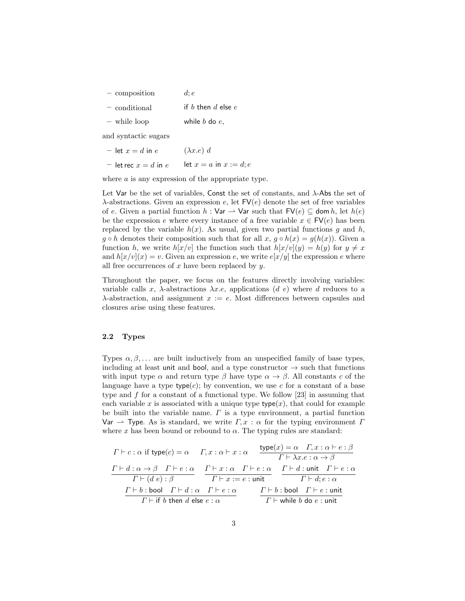| - composition | $d$ : $e$ |
|---------------|-----------|
|---------------|-----------|

- $\overline{\phantom{a}}$  conditional if b then d else e
- while loop while  $b$  do  $e$ ,

and syntactic sugars

- let  $x = d$  in e  $(\lambda x.e) d$
- let rec  $x = d$  in  $e$  let  $x = a$  in  $x := d$ ;  $e$

where  $a$  is any expression of the appropriate type.

Let Var be the set of variables, Const the set of constants, and  $\lambda$ -Abs the set of  $\lambda$ -abstractions. Given an expression e, let  $\mathsf{FV}(e)$  denote the set of free variables of e. Given a partial function  $h : \mathsf{Var} \to \mathsf{Var}$  such that  $\mathsf{FV}(e) \subseteq \mathsf{dom}\, h$ , let  $h(e)$ be the expression e where every instance of a free variable  $x \in \mathsf{FV}(e)$  has been replaced by the variable  $h(x)$ . As usual, given two partial functions g and h,  $g \circ h$  denotes their composition such that for all  $x, g \circ h(x) = g(h(x))$ . Given a function h, we write  $h[x/v]$  the function such that  $h[x/v](y) = h(y)$  for  $y \neq x$ and  $h[x/v](x) = v$ . Given an expression e, we write  $e[x/y]$  the expression e where all free occurrences of  $x$  have been replaced by  $y$ .

Throughout the paper, we focus on the features directly involving variables: variable calls x,  $\lambda$ -abstractions  $\lambda x.e.$  applications (d e) where d reduces to a  $\lambda$ -abstraction, and assignment  $x := e$ . Most differences between capsules and closures arise using these features.

#### 2.2 Types

Types  $\alpha, \beta, \ldots$  are built inductively from an unspecified family of base types, including at least unit and bool, and a type constructor  $\rightarrow$  such that functions with input type  $\alpha$  and return type  $\beta$  have type  $\alpha \to \beta$ . All constants c of the language have a type  $p(e)$ ; by convention, we use c for a constant of a base type and f for a constant of a functional type. We follow [23] in assuming that each variable x is associated with a unique type  $type(x)$ , that could for example be built into the variable name.  $\Gamma$  is a type environment, a partial function Var  $\rightarrow$  Type. As is standard, we write  $\Gamma, x : \alpha$  for the typing environment  $\Gamma$ where x has been bound or rebound to  $\alpha$ . The typing rules are standard:

$$
T \vdash c : \alpha \text{ if type}(c) = \alpha \qquad \Gamma, x : \alpha \vdash x : \alpha \qquad \frac{\text{type}(x) = \alpha \quad \Gamma, x : \alpha \vdash e : \beta}{\Gamma \vdash \lambda x.e : \alpha \to \beta}
$$
\n
$$
\frac{\Gamma \vdash d : \alpha \to \beta \quad \Gamma \vdash e : \alpha}{\Gamma \vdash (d \ e) : \beta} \qquad \frac{\Gamma \vdash x : \alpha \quad \Gamma \vdash e : \alpha}{\Gamma \vdash x := e : \text{unit}} \qquad \frac{\Gamma \vdash d : \text{unit} \quad \Gamma \vdash e : \alpha}{\Gamma \vdash d : e : \alpha}
$$
\n
$$
\frac{\Gamma \vdash b : \text{bool} \quad \Gamma \vdash d : \alpha \quad \Gamma \vdash e : \alpha}{\Gamma \vdash \text{if } b \text{ then } d \text{ else } e : \alpha} \qquad \frac{\Gamma \vdash b : \text{bool} \quad \Gamma \vdash e : \text{unit}}{\Gamma \vdash \text{while } b \text{ do } e : \text{unit}}
$$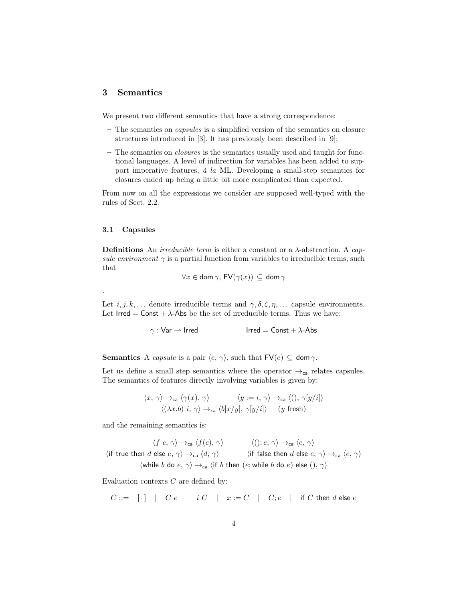## 3 Semantics

We present two different semantics that have a strong correspondence:

- The semantics on capsules is a simplified version of the semantics on closure structures introduced in [3]. It has previously been described in [9];
- The semantics on closures is the semantics usually used and taught for functional languages. A level of indirection for variables has been added to support imperative features,  $\dot{a}$  la ML. Developing a small-step semantics for closures ended up being a little bit more complicated than expected.

From now on all the expressions we consider are supposed well-typed with the rules of Sect. 2.2.

#### 3.1 Capsules

.

**Definitions** An *irreducible term* is either a constant or a  $\lambda$ -abstraction. A *cap*sule environment  $\gamma$  is a partial function from variables to irreducible terms, such that

$$
\forall x \in \text{dom } \gamma, \, \text{FV}(\gamma(x)) \subseteq \text{dom } \gamma
$$

Let  $i, j, k, \ldots$  denote irreducible terms and  $\gamma, \delta, \zeta, \eta, \ldots$  capsule environments. Let  $Irred = Const + \lambda$ -Abs be the set of irreducible terms. Thus we have:

 $\gamma$  : Var  $\rightarrow$  Irred Irred = Const +  $\lambda$ -Abs

**Semantics** A *capsule* is a pair  $\langle e, \gamma \rangle$ , such that  $\mathsf{FV}(e) \subseteq \mathsf{dom}\,\gamma$ .

Let us define a small step semantics where the operator  $\rightarrow_{\mathsf{ca}}$  relates capsules. The semantics of features directly involving variables is given by:

$$
\langle x, \gamma \rangle \rightarrow_{\text{ca}} \langle \gamma(x), \gamma \rangle \qquad \langle y := i, \gamma \rangle \rightarrow_{\text{ca}} \langle (), \gamma[y/i] \rangle
$$
  

$$
\langle (\lambda x.b) i, \gamma \rangle \rightarrow_{\text{ca}} \langle b[x/y], \gamma[y/i] \rangle \qquad (y \text{ fresh})
$$

and the remaining semantics is:

 $\langle f \ c, \ \gamma \rangle \rightarrow_{\text{ca}} \langle f(c), \ \gamma \rangle$   $\langle (\) ; e, \ \gamma \rangle \rightarrow_{\text{ca}} \langle e, \ \gamma \rangle$  $\langle$  if true then d else  $e, \gamma \rangle \rightarrow_{\mathsf{ca}} \langle d, \gamma \rangle$   $\langle$  if false then d else  $e, \gamma \rangle \rightarrow_{\mathsf{ca}} \langle e, \gamma \rangle$  $\langle$  while b do  $e, \gamma \rangle \rightarrow_{\mathsf{ca}} \langle$  if b then  $(e;$  while b do  $e)$  else  $(), \gamma \rangle$ 

Evaluation contexts  $C$  are defined by:

C ::= [ · ] | C e | i C | x := C | C; e | if C then d else e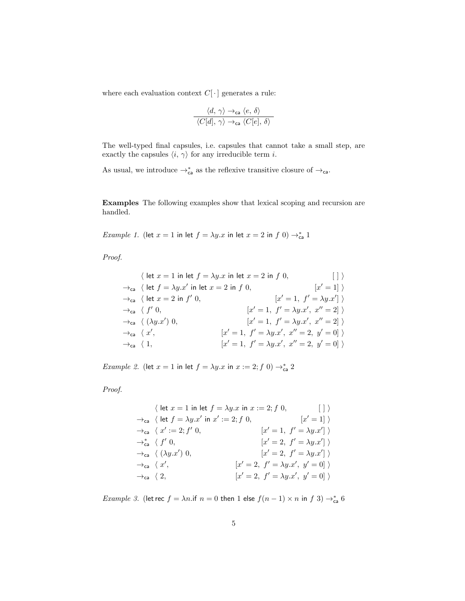where each evaluation context  $C[\cdot]$  generates a rule:

$$
\frac{\langle d, \, \gamma \rangle \rightarrow_{\text{ca}} \langle e, \, \delta \rangle}{\langle C[d], \, \gamma \rangle \rightarrow_{\text{ca}} \langle C[e], \, \delta \rangle}
$$

The well-typed final capsules, i.e. capsules that cannot take a small step, are exactly the capsules  $\langle i, \gamma \rangle$  for any irreducible term *i*.

As usual, we introduce  $\rightarrow_{\mathsf{ca}}^*$  as the reflexive transitive closure of  $\rightarrow_{\mathsf{ca}}$ .

Examples The following examples show that lexical scoping and recursion are handled.

Example 1. (let  $x = 1$  in let  $f = \lambda y \cdot x$  in let  $x = 2$  in  $f(0) \rightarrow_{\text{ca}}^* 1$ 

Proof.

$$
\langle \text{ let } x = 1 \text{ in } \text{ let } f = \lambda y.x \text{ in } \text{ let } x = 2 \text{ in } f \text{ 0}, \qquad [\ ] \rangle
$$
  
\n
$$
\rightarrow_{\text{ca}} \langle \text{ let } f = \lambda y.x' \text{ in } \text{ let } x = 2 \text{ in } f \text{ 0}, \qquad [x' = 1] \rangle
$$
  
\n
$$
\rightarrow_{\text{ca}} \langle \text{ let } x = 2 \text{ in } f' \text{ 0}, \qquad [x' = 1, f' = \lambda y.x'] \rangle
$$
  
\n
$$
\rightarrow_{\text{ca}} \langle f' \text{ 0}, \qquad [x' = 1, f' = \lambda y.x', x'' = 2] \rangle
$$
  
\n
$$
\rightarrow_{\text{ca}} \langle x', \qquad [x' = 1, f' = \lambda y.x', x'' = 2, y' = 0] \rangle
$$
  
\n
$$
\rightarrow_{\text{ca}} \langle 1, \qquad [x' = 1, f' = \lambda y.x', x'' = 2, y' = 0] \rangle
$$

Example 2. (let  $x = 1$  in let  $f = \lambda y \cdot x$  in  $x := 2; f(0) \rightarrow_{\text{ca}}^* 2$ 

Proof.

$$
\langle \text{ let } x = 1 \text{ in } \text{let } f = \lambda y.x \text{ in } x := 2; f \ 0, \qquad [\ ] \ \rangle
$$
  
\n
$$
\rightarrow_{\text{ca}} \langle \text{ let } f = \lambda y.x' \text{ in } x' := 2; f \ 0, \qquad [x' = 1] \ \rangle
$$
  
\n
$$
\rightarrow_{\text{ca}} \langle x' := 2; f' \ 0, \qquad [x' = 1, f' = \lambda y.x'] \ \rangle
$$
  
\n
$$
\rightarrow_{\text{ca}} \langle f' \ 0, \qquad [x' = 2, f' = \lambda y.x'] \ \rangle
$$
  
\n
$$
\rightarrow_{\text{ca}} \langle x', \qquad [x' = 2, f' = \lambda y.x', y' = 0] \ \rangle
$$
  
\n
$$
\rightarrow_{\text{ca}} \langle 2, \qquad [x' = 2, f' = \lambda y.x', y' = 0] \ \rangle
$$

*Example 3.* (let rec  $f = \lambda n$ .if  $n = 0$  then 1 else  $f(n-1) \times n$  in  $f(3) \rightarrow_{\mathsf{ca}}^* 6$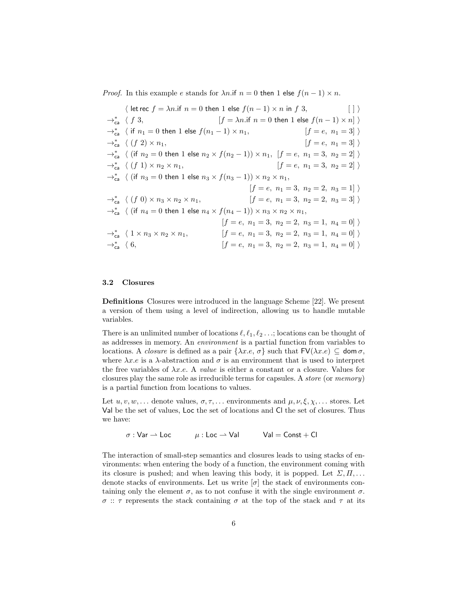*Proof.* In this example e stands for  $\lambda n$  if  $n = 0$  then 1 else  $f(n - 1) \times n$ .

 $\langle$  let rec  $f = \lambda n$ .if  $n = 0$  then 1 else  $f(n - 1) \times n$  in f 3, [ ] i  $\rightarrow_{c}^*$   $\langle f \rangle$ 3,  $f = \lambda n$ .if  $n = 0$  then 1 else  $f(n - 1) \times n$  $→_{\mathsf{ca}}^*$   $\langle$  if  $n_1 = 0$  then 1 else  $f(n_1 - 1) \times n_1,$  [f = e,  $n_1 = 3$ ]  $\rangle$  $\rightarrow_{\scriptscriptstyle{\mathsf{ca}}}^*$   $\langle$   $(f 2) \times n_1,$  $[f = e, n_1 = 3] \rangle$ → $*_{\textsf{ca}}$   $\langle$  (if  $n_2 = 0$  then 1 else  $n_2 \times f(n_2 - 1)) \times n_1$ ,  $[f = e, n_1 = 3, n_2 = 2]$   $\rangle$  $\rightarrow_{c}^*$   $\langle$   $(f 1) \times n_2 \times n_1,$  $[f = e, n_1 = 3, n_2 = 2]$  $\rightarrow_{\mathsf{ca}}^*$   $\langle$  (if  $n_3 = 0$  then 1 else  $n_3 \times f(n_3 - 1)) \times n_2 \times n_1$ ,  $[f = e, n_1 = 3, n_2 = 2, n_3 = 1]$  $\rightarrow_{\mathsf{ca}}^*$   $\langle$   $(f\;0) \times n_3 \times n_2 \times n_1,$  $[f = e, n_1 = 3, n_2 = 2, n_3 = 3]$ → $*_{\mathsf{ca}}$   $\langle$  (if  $n_4 = 0$  then 1 else  $n_4 \times f(n_4 - 1)) \times n_3 \times n_2 \times n_1$ ,  $[f = e, n_1 = 3, n_2 = 2, n_3 = 1, n_4 = 0]$  $\rightarrow_{\mathsf{ca}}^*$   $\langle 1 \times n_3 \times n_2 \times n_1,$  $f = e, n_1 = 3, n_2 = 2, n_3 = 1, n_4 = 0$  $\rightarrow_{c}^*$  (6,  $f = e, n_1 = 3, n_2 = 2, n_3 = 1, n_4 = 0$ 

#### 3.2 Closures

Definitions Closures were introduced in the language Scheme [22]. We present a version of them using a level of indirection, allowing us to handle mutable variables.

There is an unlimited number of locations  $\ell, \ell_1, \ell_2 \ldots$ ; locations can be thought of as addresses in memory. An environment is a partial function from variables to locations. A *closure* is defined as a pair  $\{\lambda x.e., \sigma\}$  such that  $FV(\lambda x.e) \subseteq \text{dom }\sigma$ , where  $\lambda x.e$  is a  $\lambda$ -abstraction and  $\sigma$  is an environment that is used to interpret the free variables of  $\lambda x.e.$  A value is either a constant or a closure. Values for closures play the same role as irreducible terms for capsules. A store (or memory) is a partial function from locations to values.

Let  $u, v, w, \ldots$  denote values,  $\sigma, \tau, \ldots$  environments and  $\mu, \nu, \xi, \chi, \ldots$  stores. Let Val be the set of values, Loc the set of locations and Cl the set of closures. Thus we have:

 $\sigma : \text{Var} \rightharpoonup \text{Loc}$   $\mu : \text{Loc} \rightharpoonup \text{Val}$  Val  $=$  Const + Cl

The interaction of small-step semantics and closures leads to using stacks of environments: when entering the body of a function, the environment coming with its closure is pushed; and when leaving this body, it is popped. Let  $\Sigma, \Pi, \ldots$ denote stacks of environments. Let us write  $[\sigma]$  the stack of environments containing only the element  $\sigma$ , as to not confuse it with the single environment  $\sigma$ . σ :: τ represents the stack containing σ at the top of the stack and τ at its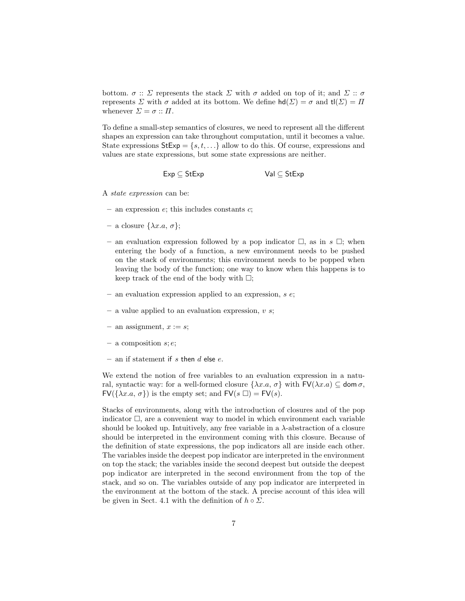bottom.  $\sigma$ ::  $\Sigma$  represents the stack  $\Sigma$  with  $\sigma$  added on top of it; and  $\Sigma$ ::  $\sigma$ represents  $\Sigma$  with  $\sigma$  added at its bottom. We define  $\text{hd}(\Sigma) = \sigma$  and  $\text{tl}(\Sigma) = \Pi$ whenever  $\Sigma = \sigma :: \Pi$ .

To define a small-step semantics of closures, we need to represent all the different shapes an expression can take throughout computation, until it becomes a value. State expressions  $StExp = \{s, t, ...\}$  allow to do this. Of course, expressions and values are state expressions, but some state expressions are neither.

$$
Exp \subseteq Stexp \qquad \qquad \text{Val} \subseteq Stexp
$$

A state expression can be:

- $-$  an expression  $e$ ; this includes constants  $c$ ;
- $-$  a closure  $\{\lambda x.a, \sigma\};$
- an evaluation expression followed by a pop indicator  $\Box$ , as in  $s \Box$ ; when entering the body of a function, a new environment needs to be pushed on the stack of environments; this environment needs to be popped when leaving the body of the function; one way to know when this happens is to keep track of the end of the body with  $\Box$ ;
- $-$  an evaluation expression applied to an expression, s  $e$ ;
- $-$  a value applied to an evaluation expression, v s;
- an assignment,  $x := s$ ;
- $-$  a composition  $s; e;$
- $-$  an if statement if s then  $d$  else  $e$ .

We extend the notion of free variables to an evaluation expression in a natural, syntactic way: for a well-formed closure  $\{\lambda x.a, \sigma\}$  with  $\mathsf{FV}(\lambda x.a) \subseteq \mathsf{dom}\,\sigma$ ,  $FV(\{\lambda x.a, \sigma\})$  is the empty set; and  $FV(s \square) = FV(s)$ .

Stacks of environments, along with the introduction of closures and of the pop indicator  $\Box$ , are a convenient way to model in which environment each variable should be looked up. Intuitively, any free variable in a  $\lambda$ -abstraction of a closure should be interpreted in the environment coming with this closure. Because of the definition of state expressions, the pop indicators all are inside each other. The variables inside the deepest pop indicator are interpreted in the environment on top the stack; the variables inside the second deepest but outside the deepest pop indicator are interpreted in the second environment from the top of the stack, and so on. The variables outside of any pop indicator are interpreted in the environment at the bottom of the stack. A precise account of this idea will be given in Sect. 4.1 with the definition of  $h \circ \Sigma$ .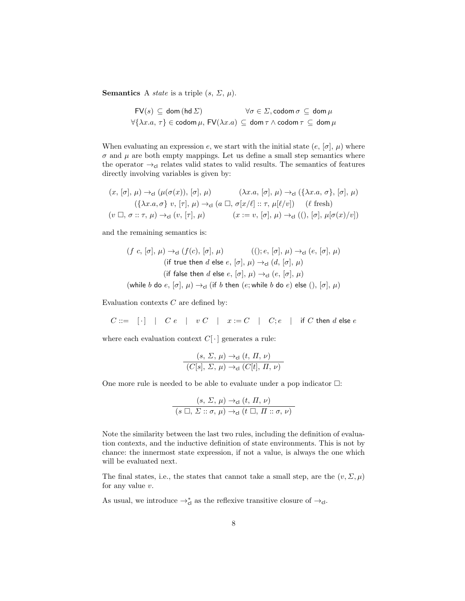**Semantics** A *state* is a triple  $(s, \Sigma, \mu)$ .

$$
\begin{aligned}\n\mathsf{FV}(s) &\subseteq \mathsf{dom}\,(\mathsf{hd}\,\Sigma) &\qquad \forall \sigma \in \Sigma, \mathsf{codom}\,\sigma \subseteq \mathsf{dom}\,\mu \\
\forall \{\lambda x. a, \,\tau\} &\in \mathsf{codom}\,\mu, \,\mathsf{FV}(\lambda x. a) \subseteq \mathsf{dom}\,\tau \wedge \mathsf{codom}\,\tau \subseteq \mathsf{dom}\,\mu\n\end{aligned}
$$

When evaluating an expression e, we start with the initial state  $(e, [\sigma], \mu)$  where  $\sigma$  and  $\mu$  are both empty mappings. Let us define a small step semantics where the operator  $\rightarrow$ <sub>cl</sub> relates valid states to valid results. The semantics of features directly involving variables is given by:

$$
(x, [\sigma], \mu) \rightarrow_{\text{cl}} (\mu(\sigma(x)), [\sigma], \mu) \qquad (\lambda x.a, [\sigma], \mu) \rightarrow_{\text{cl}} (\{\lambda x.a, \sigma\}, [\sigma], \mu)
$$
  

$$
(\{\lambda x.a, \sigma\} v, [\tau], \mu) \rightarrow_{\text{cl}} (a \square, \sigma[x/\ell] :: \tau, \mu[\ell/v]) \qquad (\ell \text{ fresh})
$$
  

$$
(v \square, \sigma :: \tau, \mu) \rightarrow_{\text{cl}} (v, [\tau], \mu) \qquad (x := v, [\sigma], \mu) \rightarrow_{\text{cl}} ((), [\sigma], \mu[\sigma(x)/v])
$$

and the remaining semantics is:

$$
(f c, [\sigma], \mu) \rightarrow_{\text{cl}} (f(c), [\sigma], \mu) \qquad ((); e, [\sigma], \mu) \rightarrow_{\text{cl}} (e, [\sigma], \mu)
$$
\n
$$
\text{(if true then } d \text{ else } e, [\sigma], \mu) \rightarrow_{\text{cl}} (d, [\sigma], \mu)
$$
\n
$$
\text{(if false then } d \text{ else } e, [\sigma], \mu) \rightarrow_{\text{cl}} (e, [\sigma], \mu)
$$
\n
$$
\text{(which holds that } f \text{ is the } f \text{ is the } g \text{ (confinite } k \text{ is the } g \text{.)}
$$

(while b do  $e, [\sigma], \mu$ )  $\rightarrow$ <sub>cl</sub> (if b then (e; while b do e) else (),  $[\sigma], \mu$ )

Evaluation contexts  $C$  are defined by:

 $C ::= \begin{array}{c|c|c|c|c|c} \hline \cdot \cdot & \cdot & \cdot & \cdot \\ \hline \end{array}$   $\begin{array}{c|c|c|c} \hline \cdot & \cdot & \cdot & \cdot \\ \hline \end{array}$   $\begin{array}{c|c|c} \hline \cdot & \cdot & \cdot & \cdot \\ \hline \end{array}$   $\begin{array}{c|c|c} \hline \cdot & \cdot & \cdot & \cdot \\ \hline \end{array}$   $\begin{array}{c|c|c} \hline \cdot & \cdot & \cdot & \cdot \\ \hline \end{array}$   $\begin{array}{c|c|c} \hline \cdot & \cdot & \cdot &$ 

where each evaluation context  $C[\cdot]$  generates a rule:

$$
\frac{(s, \Sigma, \mu) \rightarrow_{\mathsf{cl}} (t, \Pi, \nu)}{(C[s], \Sigma, \mu) \rightarrow_{\mathsf{cl}} (C[t], \Pi, \nu)}
$$

One more rule is needed to be able to evaluate under a pop indicator  $\Box$ :

$$
\frac{(s, \Sigma, \mu) \rightarrow_{\text{cl}} (t, \Pi, \nu)}{(s \square, \Sigma :: \sigma, \mu) \rightarrow_{\text{cl}} (t \square, \Pi :: \sigma, \nu)}
$$

Note the similarity between the last two rules, including the definition of evaluation contexts, and the inductive definition of state environments. This is not by chance: the innermost state expression, if not a value, is always the one which will be evaluated next.

The final states, i.e., the states that cannot take a small step, are the  $(v, \Sigma, \mu)$ for any value  $v$ .

As usual, we introduce  $\rightarrow_{\mathsf{cl}}^*$  as the reflexive transitive closure of  $\rightarrow_{\mathsf{cl}}$ .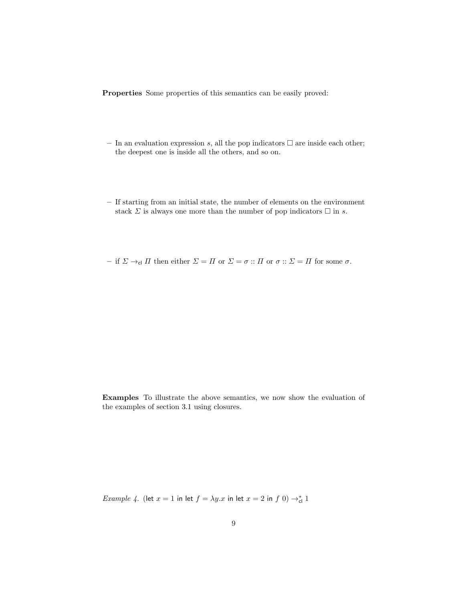Properties Some properties of this semantics can be easily proved:

- In an evaluation expression s, all the pop indicators  $\Box$  are inside each other; the deepest one is inside all the others, and so on.
- If starting from an initial state, the number of elements on the environment stack  $\Sigma$  is always one more than the number of pop indicators  $\square$  in s.

– if  $\Sigma \to_{\mathsf{cl}} \Pi$  then either  $\Sigma = \Pi$  or  $\Sigma = \sigma :: \Pi$  or  $\sigma :: \Sigma = \Pi$  for some  $\sigma$ .

Examples To illustrate the above semantics, we now show the evaluation of the examples of section 3.1 using closures.

*Example 4.* (let  $x = 1$  in let  $f = \lambda y \cdot x$  in let  $x = 2$  in  $f(0) \rightarrow_{\text{cl}}^* 1$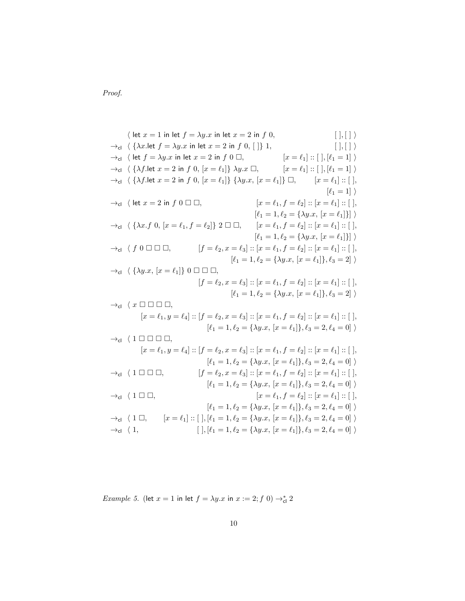Proof.

 $\langle$  let  $x = 1$  in let  $f = \lambda y \cdot x$  in let  $x = 2$  in f 0,  $[ \; ] , [ \; ] \rangle$  $\rightarrow_{\text{cl}} \langle \{ \lambda x.\text{let } f = \lambda y.x \text{ in let } x = 2 \text{ in } f \ 0, [\ ] \} \ 1,$  [ ], [ ] i  $\rightarrow$ <sub>cl</sub>  $\langle$  let  $f = \lambda y \cdot x$  in let  $x = 2$  in  $f \cdot 0 \square$ ,  $[x = \ell_1] :: [ \, ] , [ \ell_1 = 1] \rangle$  $\rightarrow$ <sub>cl</sub>  $\langle \{\lambda f.\text{let } x = 2 \text{ in } f \; 0, \, [x = \ell_1]\} \; \lambda y. x \; \Box,$   $[x = \ell_1] :: [\,], [\ell_1 = 1] \; \rangle$  $\to_{\text{cl}} \langle {\{\lambda f. \text{let } x = 2 \text{ in } f \ 0, [x = \ell_1]\}} {\{\lambda y.x, [x = \ell_1]\}} \ \Box, \qquad [x = \ell_1] :: [\ ]$  $[\ell_1 = 1]$ )  $\rightarrow c$  |  $\leq$   $x = 2$  in  $f \in \mathbb{C}$  |  $\Box$   $\Box$   $x = \ell_1, f = \ell_2$  | ::  $[x = \ell_1]$  :: [ ],  $[\ell_1 = 1, \ell_2 = {\lambda y.x}, [x = \ell_1]\}]$  $\rightarrow_{\text{cl}} \langle \{ \lambda x.f \; 0, \, [x = \ell_1, f = \ell_2] \} \; 2 \Box \Box, \qquad [x = \ell_1, f = \ell_2] :: [x = \ell_1] :: [ \, ],$  $[\ell_1 = 1, \ell_2 = {\lambda y.x}, [x = \ell_1]\}]$  $\to_{\text{cl}}$  (f  $0 \square \square \square$ ,  $\qquad \qquad [f = \ell_2, x = \ell_3] :: [x = \ell_1, f = \ell_2] :: [x = \ell_1] :: [ \, ],$  $[\ell_1 = 1, \ell_2 = {\lambda y.x}, [x = \ell_1], \ell_3 = 2]$  $\rightarrow_{\text{cl}} \langle \{ \lambda y.x, [x = \ell_1] \} \ 0 \ \Box \ \Box \ ,$  $[f = \ell_2, x = \ell_3] :: [x = \ell_1, f = \ell_2] :: [x = \ell_1] :: [$  $[\ell_1 = 1, \ell_2 = {\lambda y.x}, [x = \ell_1], \ell_3 = 2]$  $\rightarrow_{\mathsf{cl}}$   $\langle x \sqcap \square \sqcap \square,$  $[x = \ell_1, y = \ell_4] :: [f = \ell_2, x = \ell_3] :: [x = \ell_1, f = \ell_2] :: [x = \ell_1] :: [ ,$  $[\ell_1 = 1, \ell_2 = {\lambda y.x}, [x = \ell_1], \ell_3 = 2, \ell_4 = 0]$  $\rightarrow$ cl  $\langle 1 \square \square \square \square$ ,  $[x = \ell_1, y = \ell_4] :: [f = \ell_2, x = \ell_3] :: [x = \ell_1, f = \ell_2] :: [x = \ell_1] :: [ ,$  $[\ell_1 = 1, \ell_2 = {\lambda y.x}, [x = \ell_1], \ell_3 = 2, \ell_4 = 0]$  $\rightarrow_{\text{cl}}$   $\langle 1 \square \square \square$ ,  $[f = \ell_2, x = \ell_3] :: [x = \ell_1, f = \ell_2] :: [x = \ell_1] :: [ \, ],$  $[\ell_1 = 1, \ell_2 = {\lambda y.x}, [x = \ell_1], \ell_3 = 2, \ell_4 = 0]$  $\to_{\text{cl}}$  (1  $\Box$   $\Box$ ),  $[x = \ell_1, f = \ell_2] :: [x = \ell_1] :: [$  $[\ell_1 = 1, \ell_2 = {\lambda y.x}, [x = \ell_1], \ell_3 = 2, \ell_4 = 0]$  $\rightarrow$ cl  $\langle 1 \square, \quad [x = \ell_1] :: [ ], [\ell_1 = 1, \ell_2 = \{\lambda y.x, [x = \ell_1]\}, \ell_3 = 2, \ell_4 = 0] \rangle$  $\rightarrow_{\text{cl}} \langle 1,$   $[ \,],[\ell_1 = 1, \ell_2 = {\lambda y.x}, [x = \ell_1], \ell_3 = 2, \ell_4 = 0] \,\rangle$ 

Example 5. (let  $x = 1$  in let  $f = \lambda y \cdot x$  in  $x := 2$ ;  $f(0) \rightarrow_{\text{cl}}^* 2$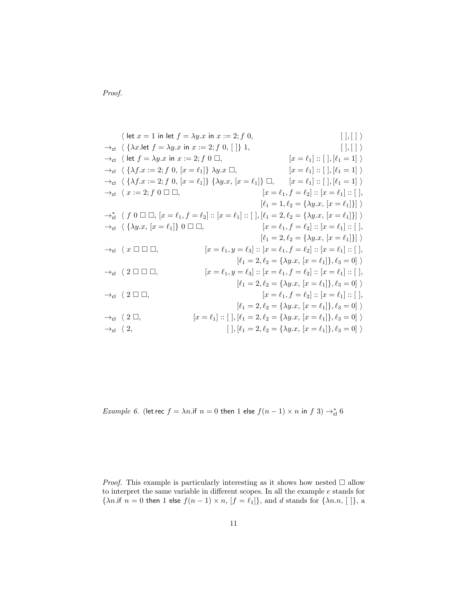Proof.

$$
\langle \text{ let } x = 1 \text{ in } \text{let } f = \lambda y.x \text{ in } x := 2; f 0, \qquad [\ ], [ ] \ \rangle
$$
\n
$$
\rightarrow_{\text{cl}} \langle \{ \lambda x.\text{let } f = \lambda y.x \text{ in } x := 2; f 0, [] \} 1, \qquad [\ ], [ ] \ \rangle
$$
\n
$$
\rightarrow_{\text{cl}} \langle \{ \lambda f.x := 2; f 0, [x = \ell_1] \} \lambda y.x \Box, \qquad [x = \ell_1] :: [\ ], [\ell_1 = 1] \ \rangle
$$
\n
$$
\rightarrow_{\text{cl}} \langle \{ \lambda f.x := 2; f 0, [x = \ell_1] \} \{ \lambda y.x \Box, \qquad [x = \ell_1] :: [\ ], [\ell_1 = 1] \ \rangle
$$
\n
$$
\rightarrow_{\text{cl}} \langle x := 2; f 0 \Box \Box, \qquad [x = \ell_1] \} \Box, \qquad [x = \ell_1] :: [\ ], [\ell_1 = 1] \ \rangle
$$
\n
$$
\rightarrow_{\text{cl}} \langle x := 2; f 0 \Box \Box, \qquad [x = \ell_1] :: [\ ], [\ell_1 = 2, \ell_2 = \{ \lambda y.x, [x = \ell_1] \} ] \ \rangle
$$
\n
$$
\rightarrow_{\text{cl}} \langle \{ \lambda y.x, [x = \ell_1] \} 0 \Box \Box, \qquad [x = \ell_1, f = \ell_2] :: [x = \ell_1] :: [\ ], [\ell_1 = 2, \ell_2 = \{ \lambda y.x, [x = \ell_1] \} ] \ \rangle
$$
\n
$$
\rightarrow_{\text{cl}} \langle x \Box \Box \Box, \qquad [x = \ell_1, y = \ell_3] :: [x = \ell_1, f = \ell_2] :: [x = \ell_1] : [\ ],
$$
\n
$$
\rightarrow_{\text{cl}} \langle x \Box \Box \Box, \qquad [x = \ell_1, y = \ell_3] :: [x = \ell_1, f = \ell_2] :: [x = \ell_1] : [\ ],
$$
\n
$$
\rightarrow_{\text{cl}} \langle 2 \Box \Box, \qquad [x = \ell_1, y = \ell_3] :: [x = \ell_1, f = \ell_2] :: [x = \ell_1] : [\ ],
$$
\n
$$
\Rightarrow_{\text
$$

*Example 6.* (let rec  $f = \lambda n$ .if  $n = 0$  then 1 else  $f(n-1) \times n$  in  $f(3) \rightarrow_{\text{cl}}^* 6$ 

*Proof.* This example is particularly interesting as it shows how nested  $\Box$  allow to interpret the same variable in different scopes. In all the example  $e$  stands for { $\lambda n$ .if  $n = 0$  then 1 else  $f(n-1) \times n$ ,  $[f = \ell_1]$ }, and d stands for { $\lambda n$ .n, []}, a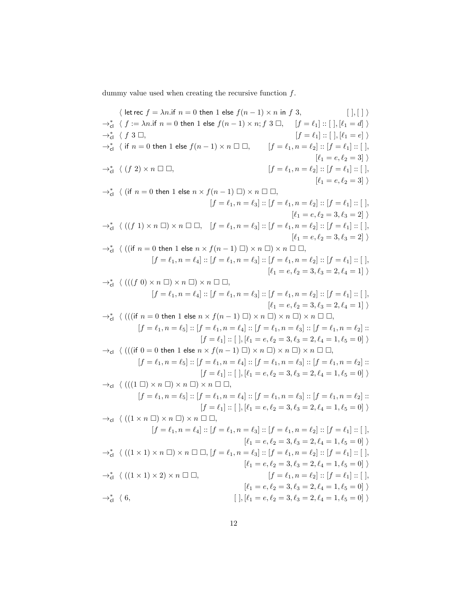dummy value used when creating the recursive function  $f.$ 

$$
\langle \text{ let } \epsilon \epsilon f = \lambda n \text{. if } n = 0 \text{ then } 1 \text{ else } f(n-1) \times n \text{ in } f 3, \qquad [\,], [ \, ] \rangle
$$
\n
$$
\rightarrow_{\text{el}}^* \langle f : = \lambda n \text{. if } n = 0 \text{ then } 1 \text{ else } f(n-1) \times n \text{, } f \beta = \ell_1 : [\,], [\ell_1 = d] \rangle
$$
\n
$$
\rightarrow_{\text{el}}^* \langle \text{ if } n = 0 \text{ then } 1 \text{ else } f(n-1) \times n \Box \Box, \qquad [ f = \ell_1, n = \ell_2] : [\,f = \ell_1] : [\,], [\,1, [\ell_1 = e] \rangle
$$
\n
$$
\rightarrow_{\text{el}}^* \langle \text{ (if } n = 0 \text{ then } 1 \text{ else } n \times f(n-1) \Box) \times n \Box \Box, \qquad [\, \ell_1 = e, \ell_2 = 3] \rangle
$$
\n
$$
\rightarrow_{\text{el}}^* \langle \text{ (if } n = 0 \text{ then } 1 \text{ else } n \times f(n-1) \Box) \times n \Box \Box,
$$
\n
$$
\langle f = \ell_1, n = \ell_2] : [\, f = \ell_1, n = \ell_2] : [\, f = \ell_1] : [\,], [\, \ell_1 = e, \ell_2 = 3] \rangle
$$
\n
$$
\rightarrow_{\text{el}}^* \langle \text{ ((if } n = 0 \text{ then } 1 \text{ else } n \times f(n-1) \Box) \times n \Box \Box, \qquad [\, \ell_1 = e, \ell_2 = 3, \ell_3 = 2] \rangle
$$
\n
$$
\rightarrow_{\text{el}}^* \langle \text{ ((if } n = 0 \text{ then } 1 \text{ else } n \times f(n-1) \Box) \times n \Box \Box, \qquad [\, \ell_1 = e, \ell_2 = 3, \ell_3 = 2] \rangle
$$
\n
$$
\rightarrow_{\text{el}}^* \langle \text{ ((if } n = 0 \text{ then } 1 \text{ else } n \times f(n-1) \Box) \times n \Box \Box, \qquad [\, \ell_1 = e, \ell_2 = 3, \ell_3 = 2] \rangle
$$
\n
$$
\rightarrow_{\text
$$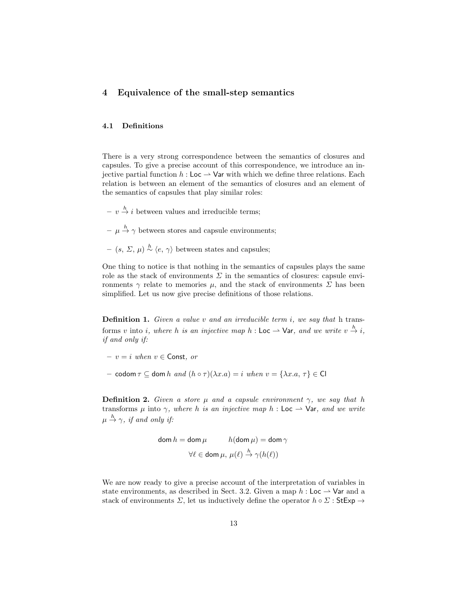## 4 Equivalence of the small-step semantics

#### 4.1 Definitions

There is a very strong correspondence between the semantics of closures and capsules. To give a precise account of this correspondence, we introduce an injective partial function  $h :$  Loc  $\rightarrow$  Var with which we define three relations. Each relation is between an element of the semantics of closures and an element of the semantics of capsules that play similar roles:

- $v \stackrel{h}{\rightarrow} i$  between values and irreducible terms;
- $-\mu \stackrel{h}{\rightarrow} \gamma$  between stores and capsule environments;
- $(s, \Sigma, \mu) \stackrel{h}{\sim} \langle e, \gamma \rangle$  between states and capsules;

One thing to notice is that nothing in the semantics of capsules plays the same role as the stack of environments  $\Sigma$  in the semantics of closures: capsule environments  $\gamma$  relate to memories  $\mu$ , and the stack of environments  $\Sigma$  has been simplified. Let us now give precise definitions of those relations.

**Definition 1.** Given a value v and an irreducible term i, we say that h transforms v into i, where h is an injective map h : Loc  $\rightarrow$  Var, and we write  $v \stackrel{h}{\rightarrow} i$ , if and only if:

- $v = i$  when  $v \in$  Const. or
- codom  $\tau \subseteq$  dom h and  $(h \circ \tau)(\lambda x.a) = i$  when  $v = {\lambda x.a, \tau} \in \mathbb{C}$

**Definition 2.** Given a store  $\mu$  and a capsule environment  $\gamma$ , we say that h transforms  $\mu$  into  $\gamma$ , where h is an injective map h : Loc  $\rightarrow$  Var, and we write  $\mu \stackrel{h}{\rightarrow} \gamma$ , if and only if:

$$
\mathsf{dom}\, h = \mathsf{dom}\, \mu \qquad h(\mathsf{dom}\, \mu) = \mathsf{dom}\, \gamma
$$

$$
\forall \ell \in \mathsf{dom}\, \mu, \, \mu(\ell) \xrightarrow{h} \gamma(h(\ell))
$$

We are now ready to give a precise account of the interpretation of variables in state environments, as described in Sect. 3.2. Given a map  $h :$  Loc  $\rightarrow$  Var and a stack of environments  $\Sigma$ , let us inductively define the operator  $h \circ \Sigma$ : StExp  $\rightarrow$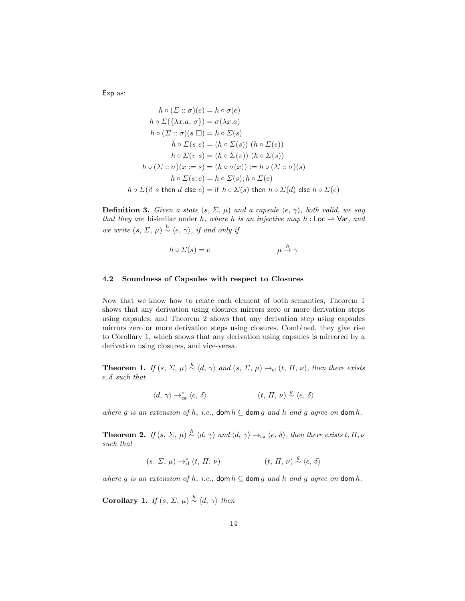Exp as:

$$
h \circ (\Sigma :: \sigma)(e) = h \circ \sigma(e)
$$
  
\n
$$
h \circ \Sigma(\{\lambda x.a, \sigma\}) = \sigma(\lambda x.a)
$$
  
\n
$$
h \circ (\Sigma :: \sigma)(s \square) = h \circ \Sigma(s)
$$
  
\n
$$
h \circ \Sigma(s e) = (h \circ \Sigma(s)) (h \circ \Sigma(e))
$$
  
\n
$$
h \circ \Sigma(v s) = (h \circ \Sigma(v)) (h \circ \Sigma(s))
$$
  
\n
$$
h \circ (\Sigma :: \sigma)(x := s) = (h \circ \sigma(x)) := h \circ (\Sigma :: \sigma)(s)
$$
  
\n
$$
h \circ \Sigma(s; e) = h \circ \Sigma(s); h \circ \Sigma(e)
$$
  
\n
$$
h \circ \Sigma(\text{if } s \text{ then } d \text{ else } e) = \text{if } h \circ \Sigma(s) \text{ then } h \circ \Sigma(d) \text{ else } h \circ \Sigma(e)
$$

**Definition 3.** Given a state  $(s, \Sigma, \mu)$  and a capsule  $\langle e, \gamma \rangle$ , both valid, we say that they are bisimilar under h, where h is an injective map  $h :$  Loc  $\rightarrow$  Var, and we write  $(s, \Sigma, \mu) \stackrel{h}{\sim} \langle e, \gamma \rangle$ , if and only if

$$
h \circ \Sigma(s) = e \qquad \qquad \mu \stackrel{h}{\to} \gamma
$$

#### 4.2 Soundness of Capsules with respect to Closures

Now that we know how to relate each element of both semantics, Theorem 1 shows that any derivation using closures mirrors zero or more derivation steps using capsules, and Theorem 2 shows that any derivation step using capsules mirrors zero or more derivation steps using closures. Combined, they give rise to Corollary 1, which shows that any derivation using capsules is mirrored by a derivation using closures, and vice-versa.

**Theorem 1.** If  $(s, \Sigma, \mu) \stackrel{h}{\sim} \langle d, \gamma \rangle$  and  $(s, \Sigma, \mu) \rightarrow_{\text{cl}} (t, \Pi, \nu)$ , then there exists  $e, \delta$  such that

$$
\langle d,\,\gamma\rangle\rightarrow_\mathsf{ca}^*\langle e,\,\delta\rangle\qquad \qquad (t,\,\varPi,\,\nu)\stackrel{g}{\sim}\langle e,\,\delta\rangle
$$

where g is an extension of h, i.e., dom  $h \subseteq$  dom g and h and g agree on dom h.

**Theorem 2.** If  $(s, \Sigma, \mu) \stackrel{h}{\sim} \langle d, \gamma \rangle$  and  $\langle d, \gamma \rangle \rightarrow_{\mathsf{ca}} \langle e, \delta \rangle$ , then there exists  $t, \Pi, \nu$ such that

$$
(s, \Sigma, \mu) \to_{\mathsf{cl}}^* (t, \Pi, \nu) \qquad \qquad (t, \Pi, \nu) \stackrel{g}{\sim} \langle e, \delta \rangle
$$

where g is an extension of h, i.e., dom  $h \subseteq$  dom g and h and g agree on dom h.

**Corollary 1.** If  $(s, \Sigma, \mu) \stackrel{h}{\sim} \langle d, \gamma \rangle$  then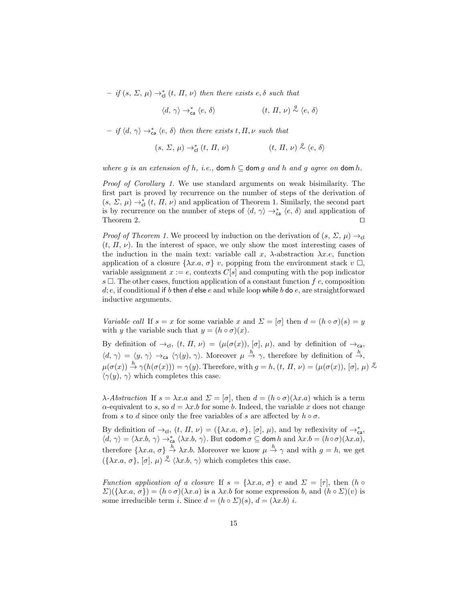$-$  if  $(s, \Sigma, \mu) \rightarrow_{\text{cl}}^* (t, \Pi, \nu)$  then there exists  $e, \delta$  such that

$$
\langle d,\,\gamma\rangle \rightarrow_{\mathrm{ca}}^* \langle e,\,\delta\rangle \qquad \qquad (t,\,\varPi,\,\nu) \stackrel{g}{\sim} \langle e,\,\delta\rangle
$$

 $-$  if  $\langle d, \gamma \rangle \rightarrow_{\text{ca}}^* \langle e, \delta \rangle$  then there exists  $t, \Pi, \nu$  such that

$$
(s,\,\varSigma,\,\mu)\rightarrow_{\mathrm{cl}}^{\ast}\,(t,\,\varPi,\,\nu) \qquad \qquad (t,\,\varPi,\,\nu)\stackrel{g}{\sim}\langle e,\,\delta\rangle
$$

where g is an extension of h, i.e., dom  $h \subseteq$  dom g and h and g agree on dom h.

Proof of Corollary 1. We use standard arguments on weak bisimilarity. The first part is proved by recurrence on the number of steps of the derivation of  $(s, \Sigma, \mu) \rightarrow_{\text{cl}}^* (t, \Pi, \nu)$  and application of Theorem 1. Similarly, the second part is by recurrence on the number of steps of  $\langle d, \gamma \rangle \rightarrow_{\text{ca}}^* \langle e, \delta \rangle$  and application of Theorem 2.  $\Box$ 

*Proof of Theorem 1.* We proceed by induction on the derivation of  $(s, \Sigma, \mu) \rightarrow$  $(t, \Pi, \nu)$ . In the interest of space, we only show the most interesting cases of the induction in the main text: variable call x,  $\lambda$ -abstraction  $\lambda x.e.$  function application of a closure  $\{\lambda x.a, \sigma\}$  v, popping from the environment stack  $v \Box$ , variable assignment  $x := e$ , contexts  $C[s]$  and computing with the pop indicator  $s \square$ . The other cases, function application of a constant function f c, composition d; e, if conditional if b then d else e and while loop while b do e, are straightforward inductive arguments.

Variable call If  $s = x$  for some variable x and  $\Sigma = [\sigma]$  then  $d = (h \circ \sigma)(s) = y$ with y the variable such that  $y = (h \circ \sigma)(x)$ .

By definition of  $\rightarrow_{\text{cl}}$ ,  $(t, \Pi, \nu) = (\mu(\sigma(x)), [\sigma], \mu)$ , and by definition of  $\rightarrow_{\text{ca}}$ ,  $\langle d, \gamma \rangle = \langle y, \gamma \rangle \rightarrow_{\text{ca}} \langle \gamma(y), \gamma \rangle$ . Moreover  $\mu \stackrel{h}{\rightarrow} \gamma$ , therefore by definition of  $\stackrel{h}{\rightarrow}$ ,  $\mu(\sigma(x)) \stackrel{h}{\rightarrow} \gamma(h(\sigma(x))) = \gamma(y)$ . Therefore, with  $g = h, (t, \Pi, \nu) = (\mu(\sigma(x)), [\sigma], \mu) \stackrel{g}{\sim}$  $\langle \gamma(y), \gamma \rangle$  which completes this case.

 $\lambda$ -Abstraction If  $s = \lambda x.a$  and  $\Sigma = [\sigma]$ , then  $d = (h \circ \sigma)(\lambda x.a)$  which is a term  $\alpha$ -equivalent to s, so  $d = \lambda x.b$  for some b. Indeed, the variable x does not change from s to d since only the free variables of s are affected by  $h \circ \sigma$ .

By definition of  $\rightarrow_{\text{cl}}$ ,  $(t, \Pi, \nu) = (\{\lambda x.a, \sigma\}, [\sigma], \mu)$ , and by reflexivity of  $\rightarrow_{\text{ca}}^*$ ,  $\langle d, \gamma \rangle = \langle \lambda x.b, \gamma \rangle \rightarrow_{\mathsf{ca}}^* \langle \lambda x.b, \gamma \rangle$ . But codom  $\sigma \subseteq$  dom  $h$  and  $\lambda x.b = (h \circ \sigma)(\lambda x.a)$ , therefore  $\{\lambda x.a, \sigma\} \stackrel{h}{\rightarrow} \lambda x.b.$  Moreover we know  $\mu \stackrel{h}{\rightarrow} \gamma$  and with  $g = h$ , we get  $({\lambda}x.a, \sigma)$ ,  $[\sigma], \mu) \stackrel{g}{\sim} {\langle} {\lambda}x.b, \gamma {\rangle}$  which completes this case.

Function application of a closure If  $s = \{\lambda x.a, \sigma\}$  v and  $\Sigma = [\tau]$ , then  $(h \circ \tau)$  $\Sigma(\{\lambda x.a, \sigma\}) = (h \circ \sigma)(\lambda x.a)$  is a  $\lambda x.b$  for some expression b, and  $(h \circ \Sigma)(v)$  is some irreducible term *i*. Since  $d = (h \circ \Sigma)(s), d = (\lambda x.b) i$ .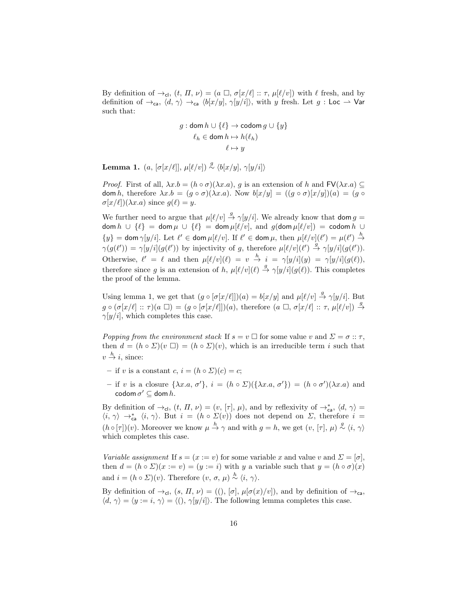By definition of  $\rightarrow_{\text{cl}}$ ,  $(t, \Pi, \nu) = (a \Box, \sigma[x/\ell] :: \tau, \mu[\ell/\nu])$  with  $\ell$  fresh, and by definition of  $\rightarrow_{\mathsf{ca}}$ ,  $\langle d, \gamma \rangle \rightarrow_{\mathsf{ca}} \langle b[x/y], \gamma[y/i] \rangle$ , with y fresh. Let g : Loc  $\rightarrow$  Var such that:

$$
g: \text{dom } h \cup \{\ell\} \to \text{codom } g \cup \{y\}
$$

$$
\ell_h \in \text{dom } h \mapsto h(\ell_h)
$$

$$
\ell \mapsto y
$$

**Lemma 1.**  $(a, [\sigma[x/\ell]], \mu[\ell/v]) \stackrel{g}{\sim} \langle b[x/y], \gamma[y/i] \rangle$ 

*Proof.* First of all,  $\lambda x.b = (h \circ \sigma)(\lambda x.a)$ , g is an extension of h and  $FV(\lambda x.a) \subseteq$ dom h, therefore  $\lambda x.b = (g \circ \sigma)(\lambda x.a)$ . Now  $b[x/y] = ((g \circ \sigma)[x/y])(a) = (g \circ$  $\sigma[x/\ell](\lambda x.a)$  since  $g(\ell) = y.$ 

We further need to argue that  $\mu[\ell/v] \stackrel{g}{\rightarrow} \gamma[y/i]$ . We already know that dom  $g =$ dom  $h \cup \{\ell\} = \text{dom } \mu \cup \{\ell\} = \text{dom } \mu[\ell/v],$  and  $g(\text{dom } \mu[\ell/v]) = \text{codom } h \cup$  $\{y\} = \text{dom } \gamma[y/i]$ . Let  $\ell' \in \text{dom } \mu[\ell/v]$ . If  $\ell' \in \text{dom } \mu$ , then  $\mu[\ell/v](\ell') = \mu(\ell') \stackrel{h}{\rightarrow}$  $\gamma(g(\ell')) = \gamma[y/i](g(\ell'))$  by injectivity of g, therefore  $\mu[\ell/v](\ell') \stackrel{g}{\to} \gamma[y/i](g(\ell')).$ Otherwise,  $\ell' = \ell$  and then  $\mu[\ell/v](\ell) = v \stackrel{h}{\to} i = \gamma[y/i](y) = \gamma[y/i](g(\ell)),$ therefore since g is an extension of h,  $\mu[\ell/v](\ell) \stackrel{g}{\to} \gamma[y/i](g(\ell))$ . This completes the proof of the lemma.

Using lemma 1, we get that  $(g \circ [\sigma[x/\ell]])(a) = b[x/y]$  and  $\mu[\ell/v] \stackrel{g}{\to} \gamma[y/i]$ . But  $g \circ (\sigma[x/\ell] :: \tau)(a \Box) = (g \circ [\sigma[x/\ell]])(a),$  therefore  $(a \Box, \sigma[x/\ell] :: \tau, \mu[\ell/v]) \stackrel{g}{\rightarrow}$  $\gamma[y/i]$ , which completes this case.

Popping from the environment stack If  $s = v \square$  for some value v and  $\Sigma = \sigma :: \tau$ , then  $d = (h \circ \Sigma)(v \square) = (h \circ \Sigma)(v)$ , which is an irreducible term i such that  $v \stackrel{h}{\rightarrow} i$ , since:

- if v is a constant c,  $i = (h \circ \Sigma)(c) = c$ ;
- if v is a closure  $\{\lambda x.a, \sigma'\}, i = (h \circ \Sigma)(\{\lambda x.a, \sigma'\}) = (h \circ \sigma')(\lambda x.a)$  and codom  $\sigma' \subseteq$  dom  $h$ .

By definition of  $\rightarrow$ <sub>cl</sub>,  $(t, \Pi, \nu) = (v, [\tau], \mu)$ , and by reflexivity of  $\rightarrow$ <sup>\*</sup><sub>ca</sub>,  $\langle d, \gamma \rangle =$  $\langle i, \gamma \rangle \rightarrow_{\text{ca}}^* \langle i, \gamma \rangle$ . But  $i = (h \circ \Sigma(v))$  does not depend on  $\Sigma$ , therefore  $i =$  $(h \circ [\tau])(v)$ . Moreover we know  $\mu \stackrel{h}{\to} \gamma$  and with  $g = h$ , we get  $(v, [\tau], \mu) \stackrel{g}{\sim} \langle i, \gamma \rangle$ which completes this case.

Variable assignment If  $s = (x := v)$  for some variable x and value v and  $\Sigma = [\sigma]$ , then  $d = (h \circ \Sigma)(x := v) = (y := i)$  with y a variable such that  $y = (h \circ \sigma)(x)$ and  $i = (h \circ \Sigma)(v)$ . Therefore  $(v, \sigma, \mu) \stackrel{h}{\sim} \langle i, \gamma \rangle$ .

By definition of  $\rightarrow_{\text{cl}}$ ,  $(s, \Pi, \nu) = ((), [\sigma], \mu[\sigma(x)/v]),$  and by definition of  $\rightarrow_{\text{ca}}$ ,  $\langle d, \gamma \rangle = \langle y := i, \gamma \rangle = \langle () , \gamma [y/i] \rangle$ . The following lemma completes this case.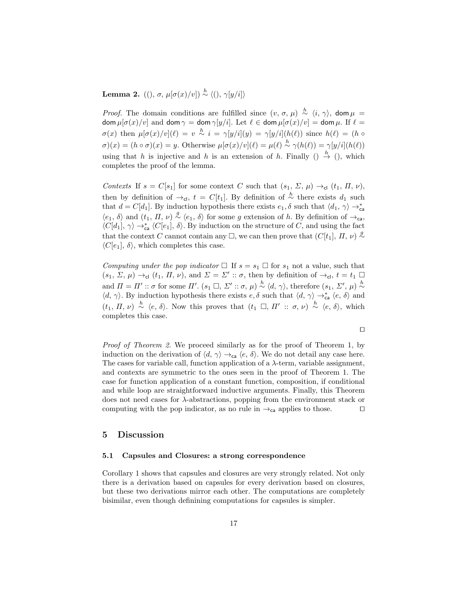# **Lemma 2.** ((),  $\sigma$ ,  $\mu[\sigma(x)/v]$ <sup> $\rightarrow$ </sup>  $\langle$ (),  $\gamma[y/i]$

*Proof.* The domain conditions are fulfilled since  $(v, \sigma, \mu) \stackrel{h}{\sim} \langle i, \gamma \rangle$ , dom  $\mu =$  $\dim \mu[\sigma(x)/v]$  and  $\dim \gamma = \dim \gamma[y/i]$ . Let  $\ell \in \dim \mu[\sigma(x)/v] = \dim \mu$ . If  $\ell =$  $\sigma(x)$  then  $\mu[\sigma(x)/v](\ell) = v \stackrel{h}{\sim} i = \gamma[y/i](y) = \gamma[y/i](h(\ell))$  since  $h(\ell) = (h \circ$  $\sigma(x) = (h \circ \sigma)(x) = y$ . Otherwise  $\mu[\sigma(x)/v](\ell) = \mu(\ell) \stackrel{h}{\sim} \gamma(h(\ell)) = \gamma[y/i](h(\ell))$ using that h is injective and h is an extension of h. Finally  $\left(\right) \stackrel{h}{\rightarrow} \left(\right)$ , which completes the proof of the lemma.

Contexts If  $s = C[s_1]$  for some context C such that  $(s_1, \Sigma, \mu) \rightarrow_{\text{cl}} (t_1, \Pi, \nu)$ , then by definition of  $\rightarrow$ <sub>cl</sub>,  $t = C[t_1]$ . By definition of  $\stackrel{h}{\sim}$  there exists  $d_1$  such that  $d = C[d_1]$ . By induction hypothesis there exists  $e_1, \delta$  such that  $\langle d_1, \gamma \rangle \rightarrow_{\mathsf{ca}}^*$  $\langle e_1, \delta \rangle$  and  $(t_1, \Pi, \nu) \stackrel{g}{\sim} \langle e_1, \delta \rangle$  for some g extension of h. By definition of  $\rightarrow_{\text{ca}}$ ,  $\langle C[d_1], \gamma \rangle \rightarrow_{\text{ca}}^* \langle C[e_1], \delta \rangle$ . By induction on the structure of C, and using the fact that the context C cannot contain any  $\Box$ , we can then prove that  $(C[t_1], \Pi, \nu) \stackrel{g}{\sim}$  $\langle C[e_1], \delta \rangle$ , which completes this case.

Computing under the pop indicator  $\Box$  If  $s = s_1 \Box$  for  $s_1$  not a value, such that  $(s_1, \Sigma, \mu) \rightarrow_{\text{cl}} (t_1, \Pi, \nu)$ , and  $\Sigma = \Sigma' :: \sigma$ , then by definition of  $\rightarrow_{\text{cl}} t = t_1 \square$ and  $\Pi = \Pi' :: \sigma$  for some  $\Pi'$ .  $(s_1 \square, \Sigma' :: \sigma, \mu) \stackrel{h}{\sim} \langle d, \gamma \rangle$ , therefore  $(s_1, \Sigma', \mu) \stackrel{h}{\sim}$  $\langle d, \gamma \rangle$ . By induction hypothesis there exists  $e, \delta$  such that  $\langle d, \gamma \rangle \rightarrow_{\mathsf{ca}}^* \langle e, \delta \rangle$  and  $(t_1, \Pi, \nu) \stackrel{h}{\sim} \langle e, \delta \rangle$ . Now this proves that  $(t_1 \Box, \Pi' :: \sigma, \nu) \stackrel{h}{\sim} \langle e, \delta \rangle$ , which completes this case.

 $\Box$ 

Proof of Theorem 2. We proceed similarly as for the proof of Theorem 1, by induction on the derivation of  $\langle d, \gamma \rangle \rightarrow_{\mathsf{ca}} \langle e, \delta \rangle$ . We do not detail any case here. The cases for variable call, function application of a  $\lambda$ -term, variable assignment, and contexts are symmetric to the ones seen in the proof of Theorem 1. The case for function application of a constant function, composition, if conditional and while loop are straightforward inductive arguments. Finally, this Theorem does not need cases for  $\lambda$ -abstractions, popping from the environment stack or computing with the pop indicator, as no rule in  $\rightarrow_{\mathsf{ca}}$  applies to those.  $\Box$ 

## 5 Discussion

#### 5.1 Capsules and Closures: a strong correspondence

Corollary 1 shows that capsules and closures are very strongly related. Not only there is a derivation based on capsules for every derivation based on closures, but these two derivations mirror each other. The computations are completely bisimilar, even though definining computations for capsules is simpler.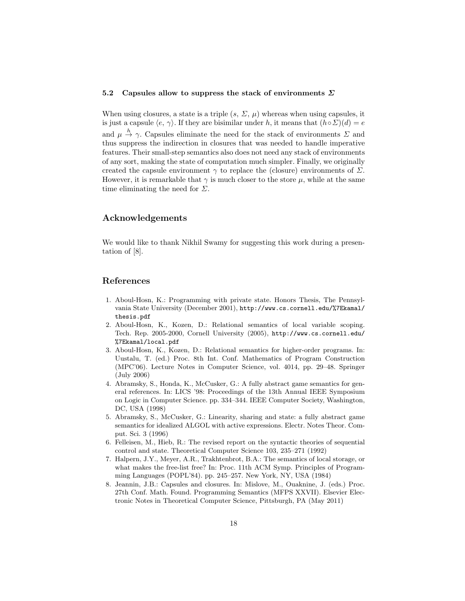#### 5.2 Capsules allow to suppress the stack of environments  $\Sigma$

When using closures, a state is a triple  $(s, \Sigma, \mu)$  whereas when using capsules, it is just a capsule  $\langle e, \gamma \rangle$ . If they are bisimilar under h, it means that  $(h \circ \Sigma)(d) = e$ and  $\mu \stackrel{h}{\rightarrow} \gamma$ . Capsules eliminate the need for the stack of environments  $\Sigma$  and thus suppress the indirection in closures that was needed to handle imperative features. Their small-step semantics also does not need any stack of environments of any sort, making the state of computation much simpler. Finally, we originally created the capsule environment  $\gamma$  to replace the (closure) environments of  $\Sigma$ . However, it is remarkable that  $\gamma$  is much closer to the store  $\mu$ , while at the same time eliminating the need for  $\Sigma$ .

## Acknowledgements

We would like to thank Nikhil Swamy for suggesting this work during a presentation of [8].

## References

- 1. Aboul-Hosn, K.: Programming with private state. Honors Thesis, The Pennsylvania State University (December 2001), http://www.cs.cornell.edu/%7Ekamal/ thesis.pdf
- 2. Aboul-Hosn, K., Kozen, D.: Relational semantics of local variable scoping. Tech. Rep. 2005-2000, Cornell University (2005), http://www.cs.cornell.edu/ %7Ekamal/local.pdf
- 3. Aboul-Hosn, K., Kozen, D.: Relational semantics for higher-order programs. In: Uustalu, T. (ed.) Proc. 8th Int. Conf. Mathematics of Program Construction (MPC'06). Lecture Notes in Computer Science, vol. 4014, pp. 29–48. Springer (July 2006)
- 4. Abramsky, S., Honda, K., McCusker, G.: A fully abstract game semantics for general references. In: LICS '98: Proceedings of the 13th Annual IEEE Symposium on Logic in Computer Science. pp. 334–344. IEEE Computer Society, Washington, DC, USA (1998)
- 5. Abramsky, S., McCusker, G.: Linearity, sharing and state: a fully abstract game semantics for idealized ALGOL with active expressions. Electr. Notes Theor. Comput. Sci. 3 (1996)
- 6. Felleisen, M., Hieb, R.: The revised report on the syntactic theories of sequential control and state. Theoretical Computer Science 103, 235–271 (1992)
- 7. Halpern, J.Y., Meyer, A.R., Trakhtenbrot, B.A.: The semantics of local storage, or what makes the free-list free? In: Proc. 11th ACM Symp. Principles of Programming Languages (POPL'84). pp. 245–257. New York, NY, USA (1984)
- 8. Jeannin, J.B.: Capsules and closures. In: Mislove, M., Ouaknine, J. (eds.) Proc. 27th Conf. Math. Found. Programming Semantics (MFPS XXVII). Elsevier Electronic Notes in Theoretical Computer Science, Pittsburgh, PA (May 2011)